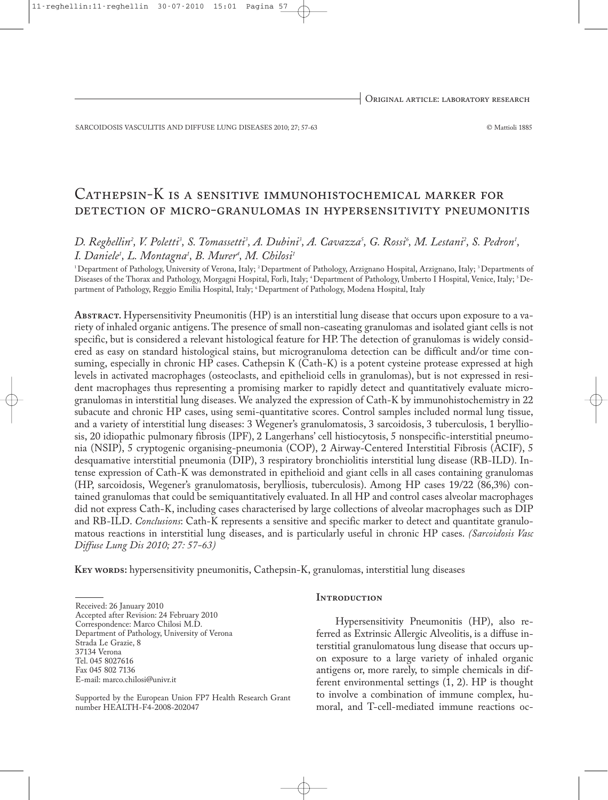SARCOIDOSIS VASCULITIS AND DIFFUSE LUNG DISEASES 2010; 27; 57-63 © Mattioli 1885

# Cathepsin-K is a sensitive immunohistochemical marker for detection of micro-granulomas in hypersensitivity pneumonitis

# D. Reghellin², V. Poletti<sup>3</sup>, S. Tomassetti<sup>3</sup>, A. Dubini<sup>3</sup>, A. Cavazza<sup>5</sup>, G. Rossi<sup>6</sup>, M. Lestani<sup>2</sup>, S. Pedron<sup>1</sup>, *I. Daniele1 , L. Montagna1 , B. Murer4 , M. Chilosi 1*

<sup>1</sup>Department of Pathology, University of Verona, Italy; <sup>2</sup>Department of Pathology, Arzignano Hospital, Arzignano, Italy; <sup>3</sup>Departments of Diseases of the Thorax and Pathology, Morgagni Hospital, Forlì, Italy; <sup>4</sup>Department of Pathology, Umberto I Hospital, Venice, Italy; <sup>5</sup>Department of Pathology, Reggio Emilia Hospital, Italy; <sup>6</sup> Department of Pathology, Modena Hospital, Italy

**Abstract.** Hypersensitivity Pneumonitis (HP) is an interstitial lung disease that occurs upon exposure to a variety of inhaled organic antigens.The presence of small non-caseating granulomas and isolated giant cells is not specific, but is considered a relevant histological feature for HP. The detection of granulomas is widely considered as easy on standard histological stains, but microgranuloma detection can be difficult and/or time consuming, especially in chronic HP cases. Cathepsin K (Cath-K) is a potent cysteine protease expressed at high levels in activated macrophages (osteoclasts, and epithelioid cells in granulomas), but is not expressed in resident macrophages thus representing a promising marker to rapidly detect and quantitatively evaluate microgranulomas in interstitial lung diseases. We analyzed the expression of Cath-K by immunohistochemistry in 22 subacute and chronic HP cases, using semi-quantitative scores. Control samples included normal lung tissue, and a variety of interstitial lung diseases: 3 Wegener's granulomatosis, 3 sarcoidosis, 3 tuberculosis, 1 berylliosis, 20 idiopathic pulmonary fibrosis (IPF), 2 Langerhans' cell histiocytosis, 5 nonspecific-interstitial pneumonia (NSIP), 5 cryptogenic organising-pneumonia (COP), 2 Airway-Centered Interstitial Fibrosis (ACIF), 5 desquamative interstitial pneumonia (DIP), 3 respiratory bronchiolitis interstitial lung disease (RB-ILD). Intense expression of Cath-K was demonstrated in epithelioid and giant cells in all cases containing granulomas (HP, sarcoidosis, Wegener's granulomatosis, berylliosis, tuberculosis). Among HP cases 19/22 (86,3%) contained granulomas that could be semiquantitatively evaluated. In all HP and control cases alveolar macrophages did not express Cath-K, including cases characterised by large collections of alveolar macrophages such as DIP and RB-ILD. *Conclusions*: Cath-K represents a sensitive and specific marker to detect and quantitate granulomatous reactions in interstitial lung diseases, and is particularly useful in chronic HP cases. *(Sarcoidosis Vasc Diffuse Lung Dis 2010; 27: 57-63)*

**Key words:** hypersensitivity pneumonitis, Cathepsin-K, granulomas, interstitial lung diseases

Received: 26 January 2010

Accepted after Revision: 24 February 2010

Correspondence: Marco Chilosi M.D.

Department of Pathology, University of Verona

Strada Le Grazie, 8

37134 Verona

Tel. 045 8027616

Fax 045 802 7136 E-mail: marco.chilosi@univr.it

Supported by the European Union FP7 Health Research Grant number HEALTH-F4-2008-202047

#### **INTRODUCTION**

Hypersensitivity Pneumonitis (HP), also referred as Extrinsic Allergic Alveolitis, is a diffuse interstitial granulomatous lung disease that occurs upon exposure to a large variety of inhaled organic antigens or, more rarely, to simple chemicals in different environmental settings (1, 2). HP is thought to involve a combination of immune complex, humoral, and T-cell-mediated immune reactions oc-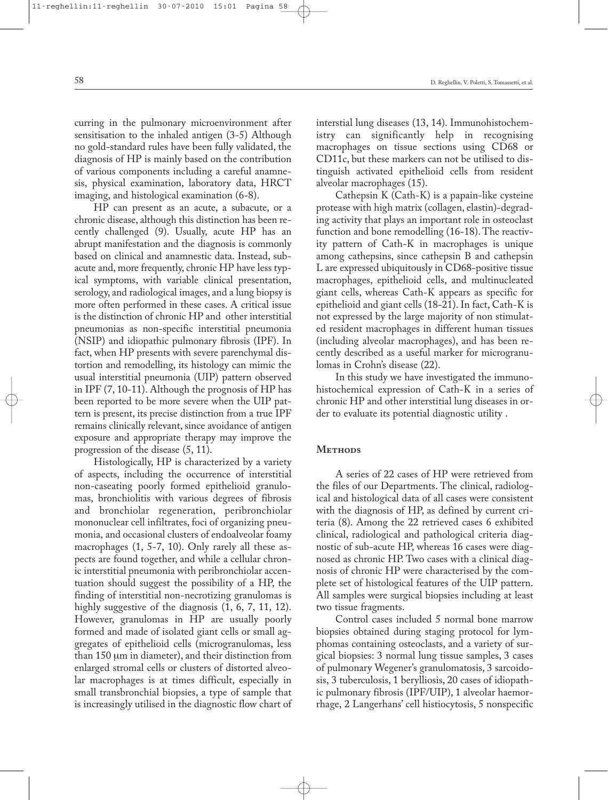curring in the pulmonary microenvironment after sensitisation to the inhaled antigen (3-5) Although no gold-standard rules have been fully validated, the diagnosis of HP is mainly based on the contribution of various components including a careful anamnesis, physical examination, laboratory data, HRCT imaging, and histological examination (6-8).

HP can present as an acute, a subacute, or a chronic disease, although this distinction has been recently challenged (9). Usually, acute HP has an abrupt manifestation and the diagnosis is commonly based on clinical and anamnestic data. Instead, subacute and, more frequently, chronic HP have less typical symptoms, with variable clinical presentation, serology, and radiological images, and a lung biopsy is more often performed in these cases. A critical issue is the distinction of chronic HP and other interstitial pneumonias as non-specific interstitial pneumonia (NSIP) and idiopathic pulmonary fibrosis (IPF). In fact, when HP presents with severe parenchymal distortion and remodelling, its histology can mimic the usual interstitial pneumonia (UIP) pattern observed in IPF (7, 10-11). Although the prognosis of HP has been reported to be more severe when the UIP pattern is present, its precise distinction from a true IPF remains clinically relevant, since avoidance of antigen exposure and appropriate therapy may improve the progression of the disease (5, 11).

Histologically, HP is characterized by a variety of aspects, including the occurrence of interstitial non-caseating poorly formed epithelioid granulomas, bronchiolitis with various degrees of fibrosis and bronchiolar regeneration, peribronchiolar mononuclear cell infiltrates, foci of organizing pneumonia, and occasional clusters of endoalveolar foamy macrophages (1, 5-7, 10). Only rarely all these aspects are found together, and while a cellular chronic interstitial pneumonia with peribronchiolar accentuation should suggest the possibility of a HP, the finding of interstitial non-necrotizing granulomas is highly suggestive of the diagnosis  $(1, 6, 7, 11, 12)$ . However, granulomas in HP are usually poorly formed and made of isolated giant cells or small aggregates of epithelioid cells (microgranulomas, less than 150 µm in diameter), and their distinction from enlarged stromal cells or clusters of distorted alveolar macrophages is at times difficult, especially in small transbronchial biopsies, a type of sample that is increasingly utilised in the diagnostic flow chart of interstial lung diseases (13, 14). Immunohistochemistry can significantly help in recognising macrophages on tissue sections using CD68 or CD11c, but these markers can not be utilised to distinguish activated epithelioid cells from resident alveolar macrophages (15).

Cathepsin K (Cath-K) is a papain-like cysteine protease with high matrix (collagen, elastin)-degrading activity that plays an important role in osteoclast function and bone remodelling (16-18). The reactivity pattern of Cath-K in macrophages is unique among cathepsins, since cathepsin B and cathepsin L are expressed ubiquitously in CD68-positive tissue macrophages, epithelioid cells, and multinucleated giant cells, whereas Cath-K appears as specific for epithelioid and giant cells (18-21). In fact, Cath-K is not expressed by the large majority of non stimulated resident macrophages in different human tissues (including alveolar macrophages), and has been recently described as a useful marker for microgranulomas in Crohn's disease (22).

In this study we have investigated the immunohistochemical expression of Cath-K in a series of chronic HP and other interstitial lung diseases in order to evaluate its potential diagnostic utility .

# METHODS

A series of 22 cases of HP were retrieved from the files of our Departments. The clinical, radiological and histological data of all cases were consistent with the diagnosis of HP, as defined by current criteria (8). Among the 22 retrieved cases 6 exhibited clinical, radiological and pathological criteria diagnostic of sub-acute HP, whereas 16 cases were diagnosed as chronic HP. Two cases with a clinical diagnosis of chronic HP were characterised by the complete set of histological features of the UIP pattern. All samples were surgical biopsies including at least two tissue fragments.

Control cases included 5 normal bone marrow biopsies obtained during staging protocol for lymphomas containing osteoclasts, and a variety of surgical biopsies: 3 normal lung tissue samples, 3 cases of pulmonary Wegener's granulomatosis, 3 sarcoidosis, 3 tuberculosis, 1 berylliosis, 20 cases of idiopathic pulmonary fibrosis (IPF/UIP), 1 alveolar haemorrhage, 2 Langerhans' cell histiocytosis, 5 nonspecific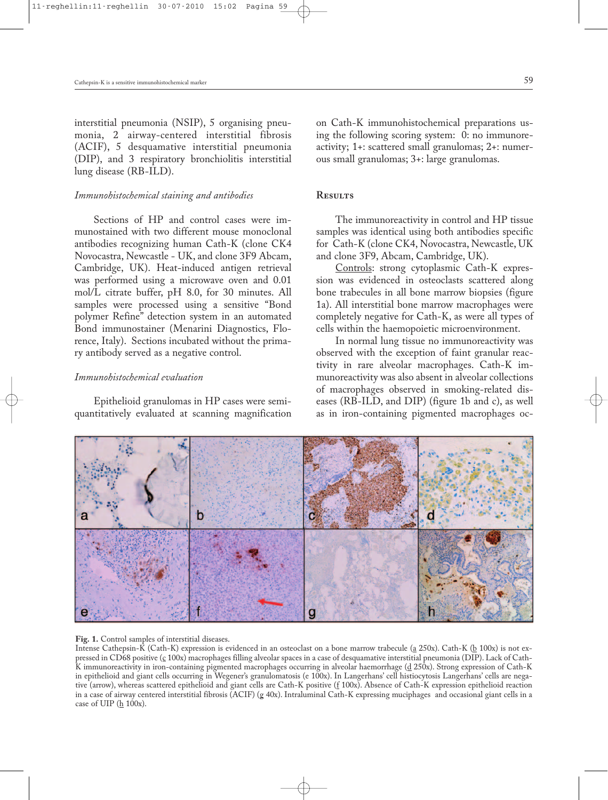interstitial pneumonia (NSIP), 5 organising pneumonia, 2 airway-centered interstitial fibrosis (ACIF), 5 desquamative interstitial pneumonia (DIP), and 3 respiratory bronchiolitis interstitial lung disease (RB-ILD).

## *Immunohistochemical staining and antibodies*

Sections of HP and control cases were immunostained with two different mouse monoclonal antibodies recognizing human Cath-K (clone CK4 Novocastra, Newcastle - UK, and clone 3F9 Abcam, Cambridge, UK). Heat-induced antigen retrieval was performed using a microwave oven and 0.01 mol/L citrate buffer, pH 8.0, for 30 minutes. All samples were processed using a sensitive "Bond polymer Refine" detection system in an automated Bond immunostainer (Menarini Diagnostics, Florence, Italy). Sections incubated without the primary antibody served as a negative control.

#### *Immunohistochemical evaluation*

Epithelioid granulomas in HP cases were semiquantitatively evaluated at scanning magnification on Cath-K immunohistochemical preparations using the following scoring system: 0: no immunoreactivity; 1+: scattered small granulomas; 2+: numerous small granulomas; 3+: large granulomas.

#### **Results**

The immunoreactivity in control and HP tissue samples was identical using both antibodies specific for Cath-K (clone CK4, Novocastra, Newcastle, UK and clone 3F9, Abcam, Cambridge, UK).

Controls: strong cytoplasmic Cath-K expression was evidenced in osteoclasts scattered along bone trabecules in all bone marrow biopsies (figure 1a). All interstitial bone marrow macrophages were completely negative for Cath-K, as were all types of cells within the haemopoietic microenvironment.

In normal lung tissue no immunoreactivity was observed with the exception of faint granular reactivity in rare alveolar macrophages. Cath-K immunoreactivity was also absent in alveolar collections of macrophages observed in smoking-related diseases (RB-ILD, and DIP) (figure 1b and c), as well as in iron-containing pigmented macrophages oc-



#### **Fig. 1.** Control samples of interstitial diseases.

Intense Cathepsin-K (Cath-K) expression is evidenced in an osteoclast on a bone marrow trabecule ( $a$  250x). Cath-K ( $b$  100x) is not expressed in CD68 positive (<u>c</u> 100x) macrophages filling alveolar spaces in a case of desquamative interstitial pneumonia (DIP). Lack of Cath-K immunoreactivity in iron-containing pigmented macrophages occurring in alveolar haemorrhage (d 250x). Strong expression of Cath-K in epithelioid and giant cells occurring in Wegener's granulomatosis (e 100x). In Langerhans' cell histiocytosis Langerhans' cells are negative (arrow), whereas scattered epithelioid and giant cells are Cath-K positive (f 100x). Absence of Cath-K expression epithelioid reaction in a case of airway centered interstitial fibrosis (ACIF) (g 40x). Intraluminal Cath-K expressing muciphages and occasional giant cells in a case of UIP  $(\underline{h} 100x)$ .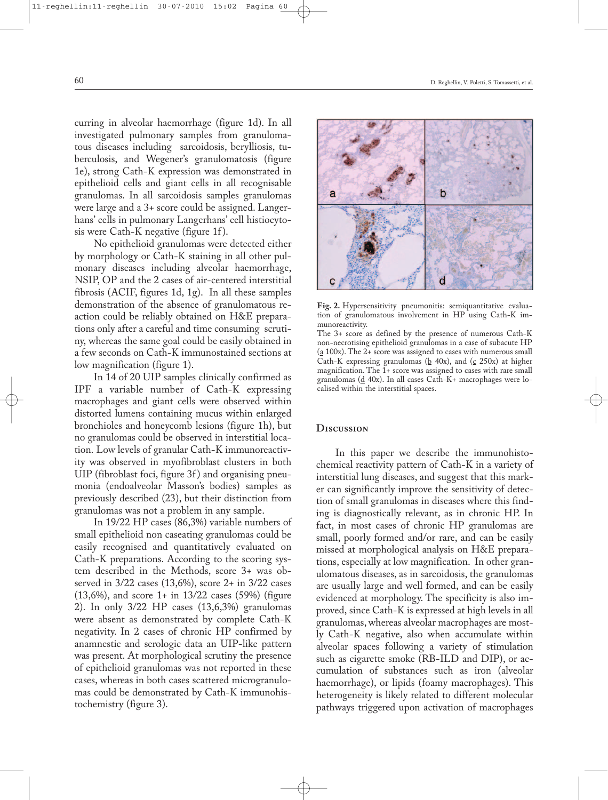curring in alveolar haemorrhage (figure 1d). In all investigated pulmonary samples from granulomatous diseases including sarcoidosis, berylliosis, tuberculosis, and Wegener's granulomatosis (figure 1e), strong Cath-K expression was demonstrated in epithelioid cells and giant cells in all recognisable granulomas. In all sarcoidosis samples granulomas were large and a 3+ score could be assigned. Langerhans' cells in pulmonary Langerhans' cell histiocytosis were Cath-K negative (figure 1f).

No epithelioid granulomas were detected either by morphology or Cath-K staining in all other pulmonary diseases including alveolar haemorrhage, NSIP, OP and the 2 cases of air-centered interstitial fibrosis (ACIF, figures 1d, 1g). In all these samples demonstration of the absence of granulomatous reaction could be reliably obtained on H&E preparations only after a careful and time consuming scrutiny, whereas the same goal could be easily obtained in a few seconds on Cath-K immunostained sections at low magnification (figure 1).

In 14 of 20 UIP samples clinically confirmed as IPF a variable number of Cath-K expressing macrophages and giant cells were observed within distorted lumens containing mucus within enlarged bronchioles and honeycomb lesions (figure 1h), but no granulomas could be observed in interstitial location. Low levels of granular Cath-K immunoreactivity was observed in myofibroblast clusters in both UIP (fibroblast foci, figure 3f) and organising pneumonia (endoalveolar Masson's bodies) samples as previously described (23), but their distinction from granulomas was not a problem in any sample.

In 19/22 HP cases (86,3%) variable numbers of small epithelioid non caseating granulomas could be easily recognised and quantitatively evaluated on Cath-K preparations. According to the scoring system described in the Methods, score 3+ was observed in 3/22 cases (13,6%), score 2+ in 3/22 cases (13,6%), and score 1+ in 13/22 cases (59%) (figure 2). In only 3/22 HP cases (13,6,3%) granulomas were absent as demonstrated by complete Cath-K negativity. In 2 cases of chronic HP confirmed by anamnestic and serologic data an UIP-like pattern was present. At morphological scrutiny the presence of epithelioid granulomas was not reported in these cases, whereas in both cases scattered microgranulomas could be demonstrated by Cath-K immunohistochemistry (figure 3).



**Fig. 2.** Hypersensitivity pneumonitis: semiquantitative evaluation of granulomatous involvement in HP using Cath-K immunoreactivity.

The 3+ score as defined by the presence of numerous Cath-K non-necrotising epithelioid granulomas in a case of subacute HP (a 100x).The 2+ score was assigned to cases with numerous small Cath-K expressing granulomas ( $\underline{b}$  40x), and ( $\underline{c}$  250x) at higher magnification. The 1+ score was assigned to cases with rare small granulomas  $(d$  40x). In all cases Cath-K+ macrophages were localised within the interstitial spaces.

#### **Discussion**

In this paper we describe the immunohistochemical reactivity pattern of Cath-K in a variety of interstitial lung diseases, and suggest that this marker can significantly improve the sensitivity of detection of small granulomas in diseases where this finding is diagnostically relevant, as in chronic HP. In fact, in most cases of chronic HP granulomas are small, poorly formed and/or rare, and can be easily missed at morphological analysis on H&E preparations, especially at low magnification. In other granulomatous diseases, as in sarcoidosis, the granulomas are usually large and well formed, and can be easily evidenced at morphology. The specificity is also improved, since Cath-K is expressed at high levels in all granulomas, whereas alveolar macrophages are mostly Cath-K negative, also when accumulate within alveolar spaces following a variety of stimulation such as cigarette smoke (RB-ILD and DIP), or accumulation of substances such as iron (alveolar haemorrhage), or lipids (foamy macrophages). This heterogeneity is likely related to different molecular pathways triggered upon activation of macrophages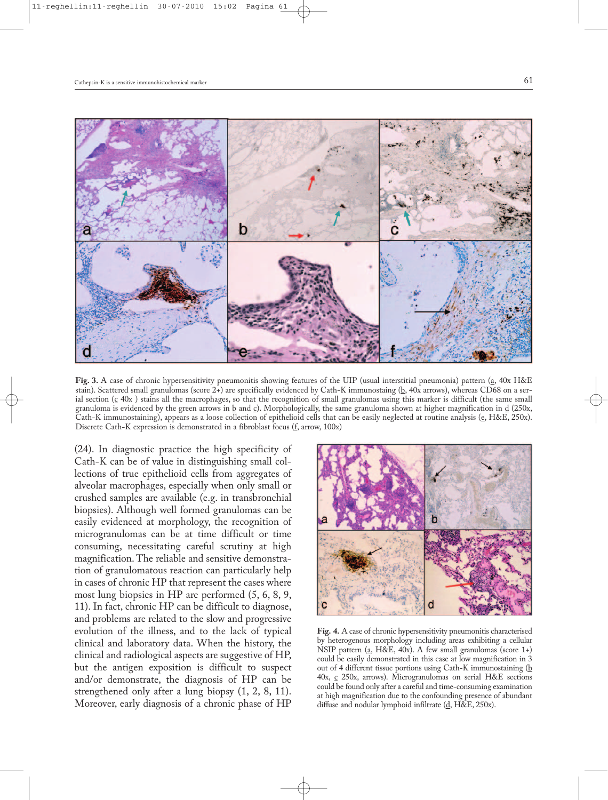

**Fig. 3.** A case of chronic hypersensitivity pneumonitis showing features of the UIP (usual interstitial pneumonia) pattern (a, 40x H&E stain). Scattered small granulomas (score 2+) are specifically evidenced by Cath-K immunostaing (b, 40x arrows), whereas CD68 on a serial section  $(c 40x)$  stains all the macrophages, so that the recognition of small granulomas using this marker is difficult (the same small granuloma is evidenced by the green arrows in  $\underline{b}$  and  $\underline{c}$ ). Morphologically, the same granuloma shown at higher magnification in  $\underline{d}$  (250x, Cath-K immunostaining), appears as a loose collection of epithelioid cells that can be easily neglected at routine analysis (e, H&E, 250x). Discrete Cath-K expression is demonstrated in a fibroblast focus (f, arrow, 100x)

(24). In diagnostic practice the high specificity of Cath-K can be of value in distinguishing small collections of true epithelioid cells from aggregates of alveolar macrophages, especially when only small or crushed samples are available (e.g. in transbronchial biopsies). Although well formed granulomas can be easily evidenced at morphology, the recognition of microgranulomas can be at time difficult or time consuming, necessitating careful scrutiny at high magnification.The reliable and sensitive demonstration of granulomatous reaction can particularly help in cases of chronic HP that represent the cases where most lung biopsies in HP are performed (5, 6, 8, 9, 11). In fact, chronic HP can be difficult to diagnose, and problems are related to the slow and progressive evolution of the illness, and to the lack of typical clinical and laboratory data. When the history, the clinical and radiological aspects are suggestive of HP, but the antigen exposition is difficult to suspect and/or demonstrate, the diagnosis of HP can be strengthened only after a lung biopsy (1, 2, 8, 11). Moreover, early diagnosis of a chronic phase of HP



**Fig. 4.** A case of chronic hypersensitivity pneumonitis characterised by heterogenous morphology including areas exhibiting a cellular NSIP pattern (a, H&E, 40x). A few small granulomas (score 1+) could be easily demonstrated in this case at low magnification in 3 out of 4 different tissue portions using Cath-K immunostaining (b 40x,  $\frac{c}{c}$  250x, arrows). Microgranulomas on serial H&E sections could be found only after a careful and time-consuming examination at high magnification due to the confounding presence of abundant diffuse and nodular lymphoid infiltrate (d, H&E, 250x).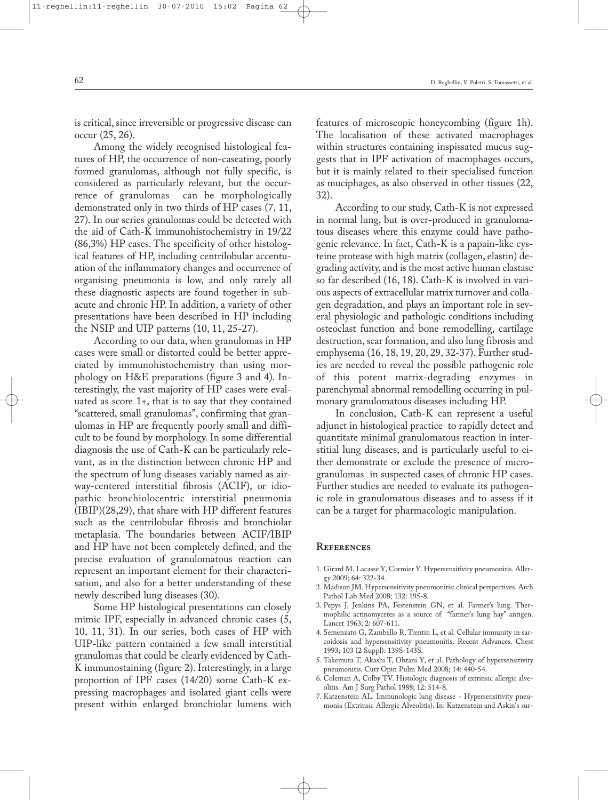is critical, since irreversible or progressive disease can occur (25, 26).

Among the widely recognised histological features of HP, the occurrence of non-caseating, poorly formed granulomas, although not fully specific, is considered as particularly relevant, but the occurrence of granulomas can be morphologically demonstrated only in two thirds of HP cases (7, 11, 27). In our series granulomas could be detected with the aid of Cath-K immunohistochemistry in 19/22 (86,3%) HP cases. The specificity of other histological features of HP, including centrilobular accentuation of the inflammatory changes and occurrence of organising pneumonia is low, and only rarely all these diagnostic aspects are found together in subacute and chronic HP. In addition, a variety of other presentations have been described in HP including the NSIP and UIP patterns (10, 11, 25-27).

According to our data, when granulomas in HP cases were small or distorted could be better appreciated by immunohistochemistry than using morphology on H&E preparations (figure 3 and 4). Interestingly, the vast majority of HP cases were evaluated as score 1+, that is to say that they contained "scattered, small granulomas", confirming that granulomas in HP are frequently poorly small and difficult to be found by morphology. In some differential diagnosis the use of Cath-K can be particularly relevant, as in the distinction between chronic HP and the spectrum of lung diseases variably named as airway-centered interstitial fibrosis (ACIF), or idiopathic bronchiolocentric interstitial pneumonia (IBIP)(28,29), that share with HP different features such as the centrilobular fibrosis and bronchiolar metaplasia. The boundaries between ACIF/IBIP and HP have not been completely defined, and the precise evaluation of granulomatous reaction can represent an important element for their characterisation, and also for a better understanding of these newly described lung diseases (30).

Some HP histological presentations can closely mimic IPF, especially in advanced chronic cases (5, 10, 11, 31). In our series, both cases of HP with UIP-like pattern contained a few small interstitial granulomas that could be clearly evidenced by Cath-K immunostaining (figure 2). Interestingly, in a large proportion of IPF cases (14/20) some Cath-K expressing macrophages and isolated giant cells were present within enlarged bronchiolar lumens with features of microscopic honeycombing (figure 1h). The localisation of these activated macrophages within structures containing inspissated mucus suggests that in IPF activation of macrophages occurs, but it is mainly related to their specialised function as muciphages, as also observed in other tissues (22, 32).

According to our study, Cath-K is not expressed in normal lung, but is over-produced in granulomatous diseases where this enzyme could have pathogenic relevance. In fact, Cath-K is a papain-like cysteine protease with high matrix (collagen, elastin) degrading activity, and is the most active human elastase so far described (16, 18). Cath-K is involved in various aspects of extracellular matrix turnover and collagen degradation, and plays an important role in several physiologic and pathologic conditions including osteoclast function and bone remodelling, cartilage destruction, scar formation, and also lung fibrosis and emphysema (16, 18, 19, 20, 29, 32-37). Further studies are needed to reveal the possible pathogenic role of this potent matrix-degrading enzymes in parenchymal abnormal remodelling occurring in pulmonary granulomatous diseases including HP.

In conclusion, Cath-K can represent a useful adjunct in histological practice to rapidly detect and quantitate minimal granulomatous reaction in interstitial lung diseases, and is particularly useful to either demonstrate or exclude the presence of microgranulomas in suspected cases of chronic HP cases. Further studies are needed to evaluate its pathogenic role in granulomatous diseases and to assess if it can be a target for pharmacologic manipulation.

## **References**

- 1. Girard M, Lacasse Y, Cormier Y. Hypersensitivity pneumonitis. Allergy 2009; 64: 322-34.
- 2. Madison JM. Hypersensitivity pneumonitis: clinical perspectives. Arch Pathol Lab Med 2008; 132: 195-8.
- 3. Pepys J, Jenkins PA, Festenstein GN, et al. Farmer's lung. Thermophilic actinomycetes as a source of "farmer's lung hay" antigen. Lancet 1963; 2: 607-611.
- 4. Semenzato G, Zambello R, Trentin L, et al. Cellular immunity in sarcoidosis and hypersensitivity pneumonitis. Recent Advances. Chest 1993; 103 (2 Suppl): 139S-143S.
- 5. Takemura T, Akashi T, Ohtani Y, et al. Pathology of hypersensitivity pneumonitis. Curr Opin Pulm Med 2008; 14: 440-54.
- 6. Coleman A, Colby TV. Histologic diagnosis of extrinsic allergic alveolitis. Am J Surg Pathol 1988; 12: 514-8.
- 7. Katzenstein AL. Immunologic lung disease Hypersensitivity pneumonia (Extrinsic Allergic Alveolitis). In: Katzenstein and Askin's sur-